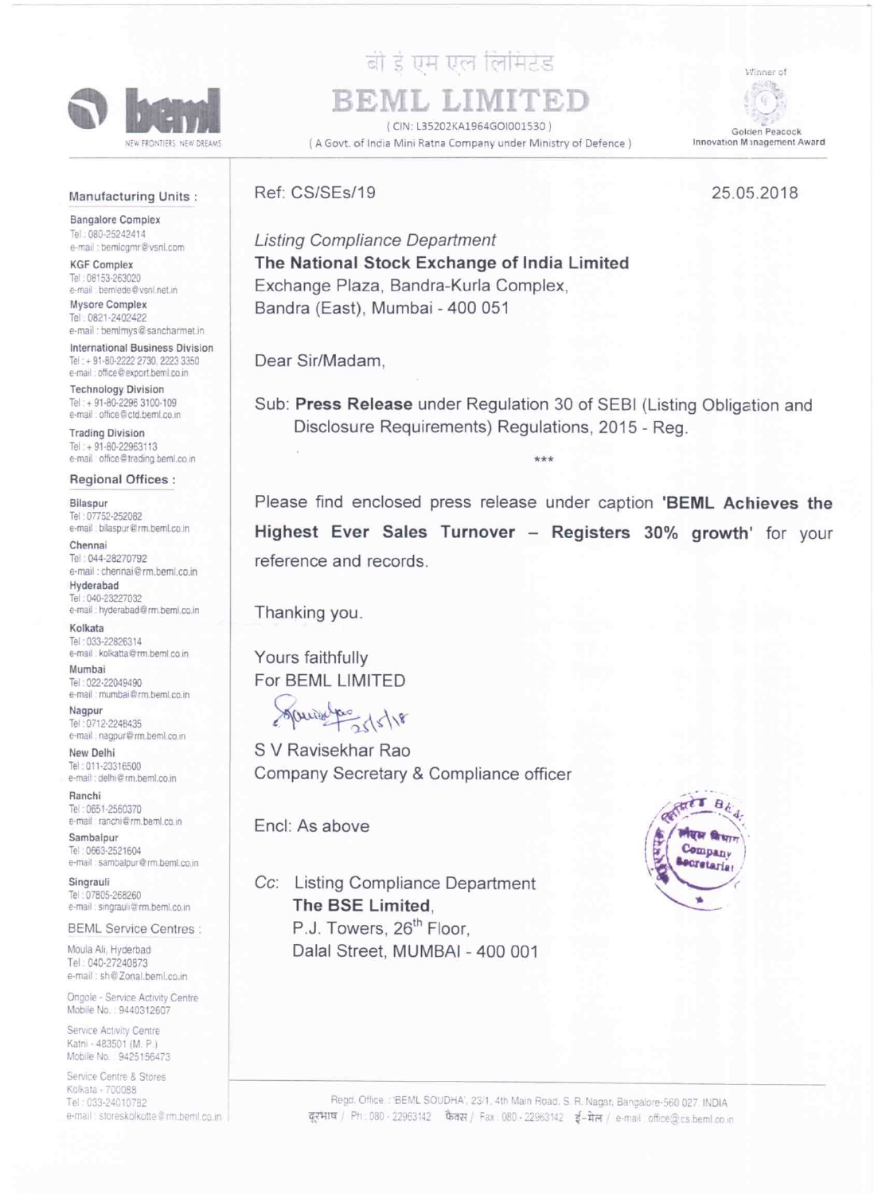

# बी डे एम एल लिमिटेड

REML LIN (CIN: L35202KA1964GOI001530) (A Govt. of India Mini Ratna Company under Ministry of Defence)

Golden Peacock Innovation Management Award

Winner of

#### Manufacturing Units:

**Bangalore Complex** Tel: 080-25242414 e-mail : bemlcgmr@vsnl.com

**KGF Complex** Tel: 08153-263020 e-mail : bemiede@vsnl.net.in

Mysore Complex Tel: 0821-2402422 e-mail : bemimys@sancharmet.in

**International Business Division** Tel: + 91-80-2222 2730, 2223 3350 e-mail: office@export.beml.co.in

**Technology Division** Tel: + 91-80-2296 3100-109 e-mail : office@ctd.beml.co.in

**Trading Division** Tel: + 91-80-22963113 e-mail office@trading.beml.co.in

#### **Regional Offices:**

Bilaspur Tel: 07752-252082 e-mail : bilaspur@rm.beml.co.in

Chennai Tel: 044-28270792 e-mail : chennai@rm.beml.co.in

Hyderabad Tel: 040-23227032 e-mail : hyderabad@rm.beml.co.in

Kolkata Tel: 033-22826314 e-mail : kolkatta@rm.beml.co.in

Mumbai Tel: 022-22049490 e-mail: mumbai@rm.beml.co.in

Nagpur Tel: 0712-2248435 e-mail : nagpur@rm.beml.co.in

New Delhi Tel: 011-23316500 e-mail: delhi@rm heml.co.in

Ranchi Tel: 0651-2560370 e-mail : ranchi@rm.beml.co.in

Sambalpur Tel: 0663-2521604 e-mail : sambalpur@rm.beml.co.in

Singrauli Tel: 07805-268260 e-mail : singrauli@rm.beml.co.in

#### **BEML Service Centres:**

Moula Ali, Hyderbad Tel: 040-27240873 e-mail : sh@Zonal.beml.co.in

Ongole - Service Activity Centre Mobile No. : 9440312607

Service Activity Centre Katni - 483501 (M. P.) Mobile No. 9425156473

Service Centre & Stores Kolkata - 700088 Tel: 033-24010782 e-mail : storeskolkotte@rm.beml.co.in

## **Listing Compliance Department** The National Stock Exchange of India Limited Exchange Plaza, Bandra-Kurla Complex,

Bandra (East), Mumbai - 400 051

Dear Sir/Madam.

Ref: CS/SEs/19

Sub: Press Release under Regulation 30 of SEBI (Listing Obligation and Disclosure Requirements) Regulations, 2015 - Reg.

\*\*\*

Please find enclosed press release under caption 'BEML Achieves the Highest Ever Sales Turnover - Registers 30% growth' for your reference and records.

Thanking you.

Yours faithfully For BEML LIMITED

Sources 15/18

S V Ravisekhar Rao Company Secretary & Compliance officer

Encl: As above

Cc: Listing Compliance Department The BSE Limited. P.J. Towers, 26<sup>th</sup> Floor. Dalal Street, MUMBAI - 400 001



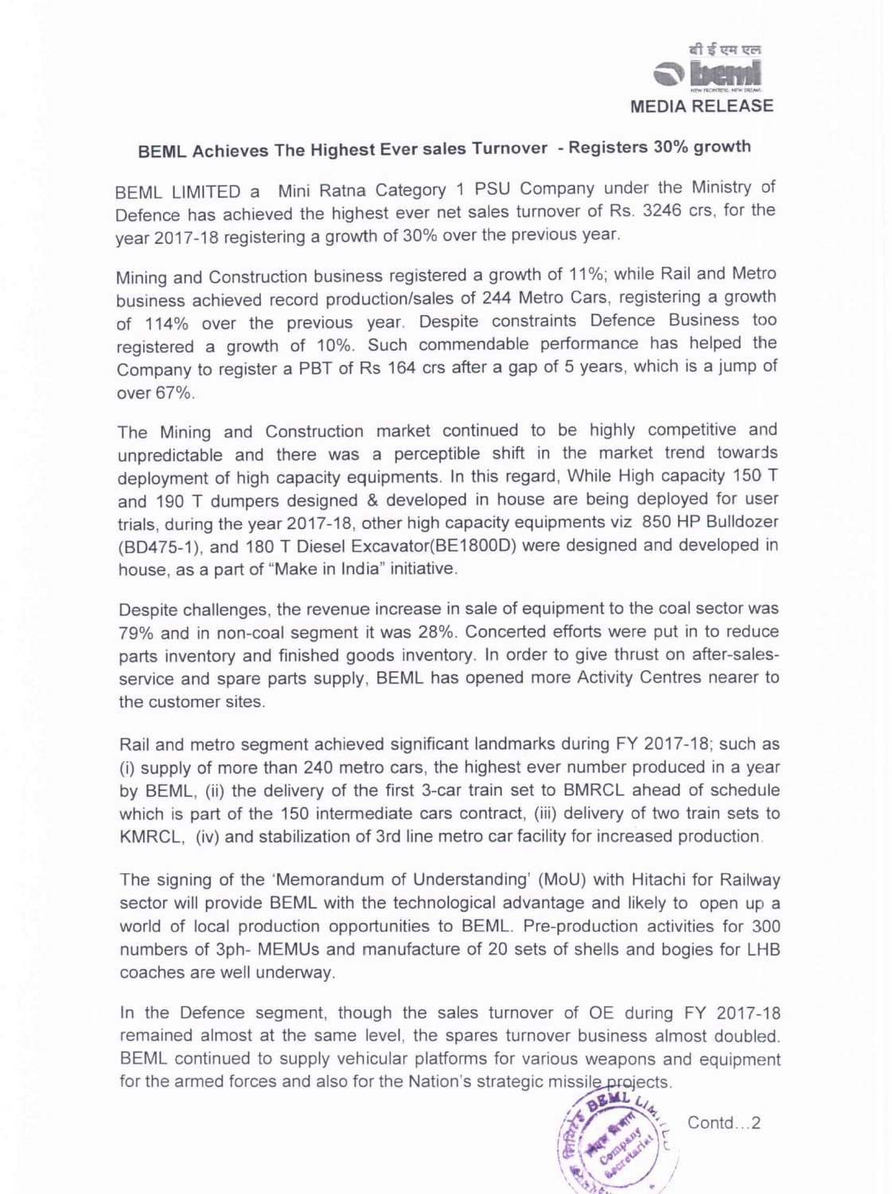

### BEML Achieves The Highest Ever sales Turnover - Registers 30% growth

BEML LIMITED a Mini Ratna Category 1 PSU Company under the Ministry of Defence has achieved the highest ever net sales turnover of Rs. <sup>3246</sup> crs, for the year 2017-18 registering <sup>a</sup> growth of 30% over the previous year.

Mining and Construction business registered <sup>a</sup> growth of 11%; while Rail and Metro business achieved record production/sales of 244 Metro Cars, registering <sup>a</sup> growth of 114% over the previous year. Despite constraints Defence Business too registered <sup>a</sup> growth of 10%. Such commendable performance has helped the Company to register <sup>a</sup> PBT of Rs <sup>164</sup> crs after <sup>a</sup> gap of <sup>5</sup> years, which is <sup>a</sup> jump of over 67%.

The Mining and Construction market continued to be highly competitive and unpredictable and there was <sup>a</sup> perceptible shift in the market trend towards deployment of high capacity equipments. In this regard, While High capacity <sup>150</sup> <sup>T</sup> and <sup>190</sup> T dumpers designed & developed in house are being deployed for user trials, during the year 2017-18, other high capacity equipments viz 850 HP Bulldozer (BD475-1), and 180 T Diesel Excavator(BE1800D) were designed and developed in house, as <sup>a</sup> part of "Make in India" initiative.

Despite challenges, the revenue increase in sale of equipment to the coal sector was 79% and in non-coal segment it was 28%. Concerted efforts were put in to reduce parts inventory and finished goods inventory. In order to give thrust on after-salesservice and spare parts supply, BEML has opened more Activity Centres nearer to the customer sites.

Rail and metro segment achieved significant landmarks during FY 2017-18; such as (i) supply of more than 240 metro cars, the highest ever number produced in <sup>a</sup> year by BEML, (ii) the delivery of the first 3-car train set to BMRCL ahead of schedule which is part of the 150 intermediate cars contract, (iii) delivery of two train sets to KMRCL, (iv) and stabilization of 3rd line metro car facility for increased production,

The signing of the 'Memorandum of Understanding' (MoU) with Hitachi for Railway sector will provide BEML with the technological advantage and likely to open up a world of local production opportunities to BEML. Pre-production activities for 300 numbers of 3ph- MEMUs and manufacture of 20 sets of shells and bogies for LHB coaches are well underway.

In the Defence segment, though the sales turnover of OE during FY 2017-18 remained almost at the same level, the spares turnover business almost doubled. BEML continued to supply vehicular platforms for various weapons and equipment for the armed forces and also for the Nation's strategic missile projects.<br> **I** W<sub>4</sub>